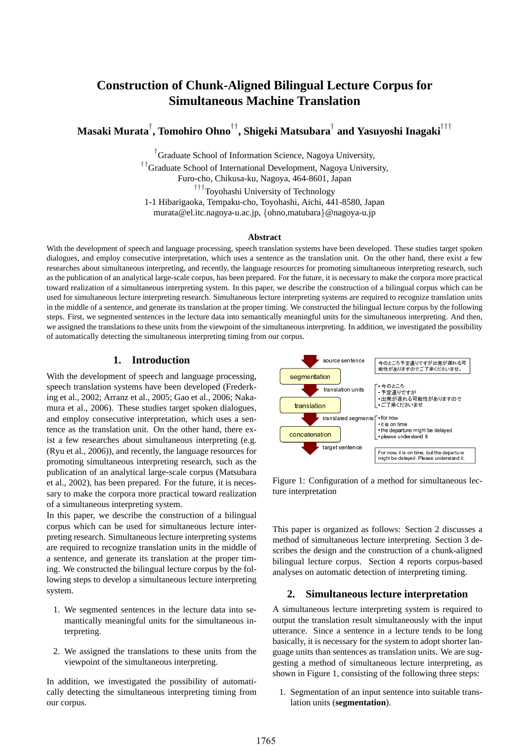# **Construction of Chunk-Aligned Bilingual Lecture Corpus for Simultaneous Machine Translation**

**Masaki Murata***†* **, Tomohiro Ohno***††***, Shigeki Matsubara***†* **and Yasuyoshi Inagaki***†††*

*†* Graduate School of Information Science, Nagoya University,

*††*Graduate School of International Development, Nagoya University,

Furo-cho, Chikusa-ku, Nagoya, 464-8601, Japan

*†††*Toyohashi University of Technology

1-1 Hibarigaoka, Tempaku-cho, Toyohashi, Aichi, 441-8580, Japan

murata@el.itc.nagoya-u.ac.jp, *{*ohno,matubara*}*@nagoya-u.jp

#### **Abstract**

With the development of speech and language processing, speech translation systems have been developed. These studies target spoken dialogues, and employ consecutive interpretation, which uses a sentence as the translation unit. On the other hand, there exist a few researches about simultaneous interpreting, and recently, the language resources for promoting simultaneous interpreting research, such as the publication of an analytical large-scale corpus, has been prepared. For the future, it is necessary to make the corpora more practical toward realization of a simultaneous interpreting system. In this paper, we describe the construction of a bilingual corpus which can be used for simultaneous lecture interpreting research. Simultaneous lecture interpreting systems are required to recognize translation units in the middle of a sentence, and generate its translation at the proper timing. We constructed the bilingual lecture corpus by the following steps. First, we segmented sentences in the lecture data into semantically meaningful units for the simultaneous interpreting. And then, we assigned the translations to these units from the viewpoint of the simultaneous interpreting. In addition, we investigated the possibility of automatically detecting the simultaneous interpreting timing from our corpus.

### **1. Introduction**

With the development of speech and language processing, speech translation systems have been developed (Frederking et al., 2002; Arranz et al., 2005; Gao et al., 2006; Nakamura et al., 2006). These studies target spoken dialogues, and employ consecutive interpretation, which uses a sentence as the translation unit. On the other hand, there exist a few researches about simultaneous interpreting (e.g. (Ryu et al., 2006)), and recently, the language resources for promoting simultaneous interpreting research, such as the publication of an analytical large-scale corpus (Matsubara et al., 2002), has been prepared. For the future, it is necessary to make the corpora more practical toward realization of a simultaneous interpreting system.

In this paper, we describe the construction of a bilingual corpus which can be used for simultaneous lecture interpreting research. Simultaneous lecture interpreting systems are required to recognize translation units in the middle of a sentence, and generate its translation at the proper timing. We constructed the bilingual lecture corpus by the following steps to develop a simultaneous lecture interpreting system.

- 1. We segmented sentences in the lecture data into semantically meaningful units for the simultaneous interpreting.
- 2. We assigned the translations to these units from the viewpoint of the simultaneous interpreting.

In addition, we investigated the possibility of automatically detecting the simultaneous interpreting timing from our corpus.



Figure 1: Configuration of a method for simultaneous lecture interpretation

This paper is organized as follows: Section 2 discusses a method of simultaneous lecture interpreting. Section 3 describes the design and the construction of a chunk-aligned bilingual lecture corpus. Section 4 reports corpus-based analyses on automatic detection of interpreting timing.

# **2. Simultaneous lecture interpretation**

A simultaneous lecture interpreting system is required to output the translation result simultaneously with the input utterance. Since a sentence in a lecture tends to be long basically, it is necessary for the system to adopt shorter language units than sentences as translation units. We are suggesting a method of simultaneous lecture interpreting, as shown in Figure 1, consisting of the following three steps:

1. Segmentation of an input sentence into suitable translation units (**segmentation**).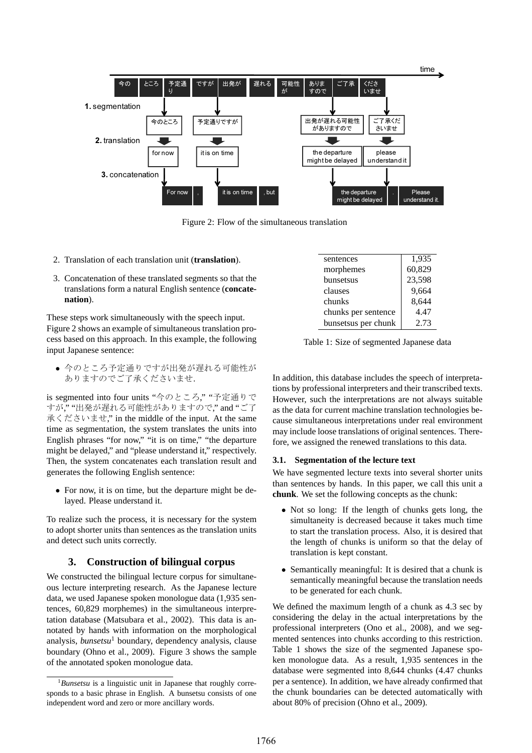

Figure 2: Flow of the simultaneous translation

- 2. Translation of each translation unit (**translation**).
- 3. Concatenation of these translated segments so that the translations form a natural English sentence (**concatenation**).

These steps work simultaneously with the speech input. Figure 2 shows an example of simultaneous translation process based on this approach. In this example, the following input Japanese sentence:

*•* 今のところ予定通りですが出発が遅れる可能性が ありますのでご了承くださいませ.

is segmented into four units "今のところ," "予定通りで すが," "出発が遅れる可能性がありますので," and "ご了 承くださいませ," in the middle of the input. At the same time as segmentation, the system translates the units into English phrases "for now," "it is on time," "the departure might be delayed," and "please understand it," respectively. Then, the system concatenates each translation result and generates the following English sentence:

*•* For now, it is on time, but the departure might be delayed. Please understand it.

To realize such the process, it is necessary for the system to adopt shorter units than sentences as the translation units and detect such units correctly.

# **3. Construction of bilingual corpus**

We constructed the bilingual lecture corpus for simultaneous lecture interpreting research. As the Japanese lecture data, we used Japanese spoken monologue data (1,935 sentences, 60,829 morphemes) in the simultaneous interpretation database (Matsubara et al., 2002). This data is annotated by hands with information on the morphological analysis, *bunsetsu*<sup>1</sup> boundary, dependency analysis, clause boundary (Ohno et al., 2009). Figure 3 shows the sample of the annotated spoken monologue data.

| sentences           | 1,935  |
|---------------------|--------|
| morphemes           | 60,829 |
| bunsetsus           | 23,598 |
| clauses             | 9,664  |
| chunks              | 8,644  |
| chunks per sentence | 4.47   |
| bunsetsus per chunk | 2.73   |

Table 1: Size of segmented Japanese data

In addition, this database includes the speech of interpretations by professional interpreters and their transcribed texts. However, such the interpretations are not always suitable as the data for current machine translation technologies because simultaneous interpretations under real environment may include loose translations of original sentences. Therefore, we assigned the renewed translations to this data.

# **3.1. Segmentation of the lecture text**

We have segmented lecture texts into several shorter units than sentences by hands. In this paper, we call this unit a **chunk**. We set the following concepts as the chunk:

- *•* Not so long: If the length of chunks gets long, the simultaneity is decreased because it takes much time to start the translation process. Also, it is desired that the length of chunks is uniform so that the delay of translation is kept constant.
- *•* Semantically meaningful: It is desired that a chunk is semantically meaningful because the translation needs to be generated for each chunk.

We defined the maximum length of a chunk as 4.3 sec by considering the delay in the actual interpretations by the professional interpreters (Ono et al., 2008), and we segmented sentences into chunks according to this restriction. Table 1 shows the size of the segmented Japanese spoken monologue data. As a result, 1,935 sentences in the database were segmented into 8,644 chunks (4.47 chunks per a sentence). In addition, we have already confirmed that the chunk boundaries can be detected automatically with about 80% of precision (Ohno et al., 2009).

<sup>1</sup>*Bunsetsu* is a linguistic unit in Japanese that roughly corresponds to a basic phrase in English. A bunsetsu consists of one independent word and zero or more ancillary words.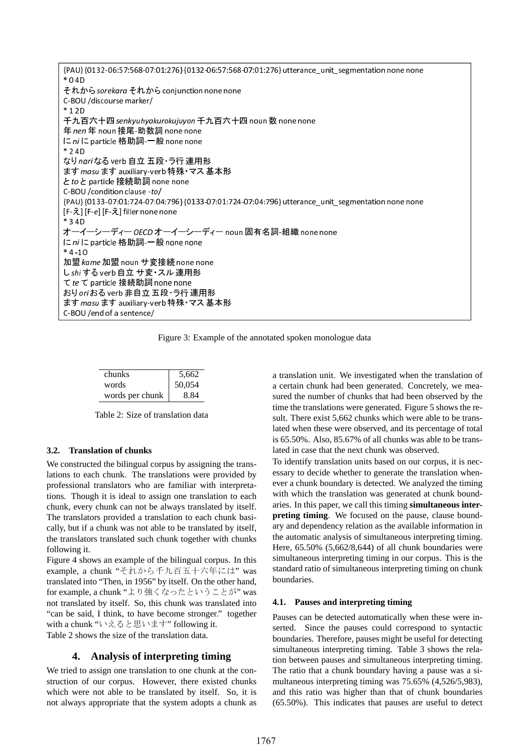{PAU} {0132-06:57:568-07:01:276} {0132-06:57:568-07:01:276} utterance\_unit\_segmentation none none \* 0 4D それから sorekara それから conjunction none none C-BOU /discourse marker/ \* 1 2D 千九百六十四 senkyuhyakurokujuyon 千九百六十四 noun 数 none none 年 nen 年 noun 接尾-助数詞 none none に ni に particle 格助詞 一般 none none \* 2 4D なり nariなる verb 自立 五段· ラ行 連用形 ます masu ます auxiliary-verb 特殊· マス基本形 と to と particle 接続助詞none none C-BOU /condition clause -to/ {PAU} {0133-07:01:724-07:04:796} {0133-07:01:724-07:04:796} utterance\_unit\_segmentation none none [F-え] [F-e] [F-え] filler none none \* 3 4D オーイーシーディー OECD オーイーシーディー noun 固有名詞-組織 none none に ni に particle 格助詞-一般 none none  $* 4 - 10$ 加盟 kame 加盟 noun サ変接続 none none し shi する verb 自立 サ変・スル連用形 てte て particle 接続助詞none none おり oriおる verb 非自立五段・ラ行連用形 ますmasu ます auxiliary-verb特殊・マス基本形 C-BOU /end of a sentence/

Figure 3: Example of the annotated spoken monologue data

| chunks          | 5,662  |
|-----------------|--------|
| words           | 50,054 |
| words per chunk | 8.84   |

Table 2: Size of translation data

#### **3.2. Translation of chunks**

We constructed the bilingual corpus by assigning the translations to each chunk. The translations were provided by professional translators who are familiar with interpretations. Though it is ideal to assign one translation to each chunk, every chunk can not be always translated by itself. The translators provided a translation to each chunk basically, but if a chunk was not able to be translated by itself, the translators translated such chunk together with chunks following it.

Figure 4 shows an example of the bilingual corpus. In this example, a chunk "それから千九百五十六年には" was translated into "Then, in 1956" by itself. On the other hand, for example, a chunk "より強くなったということが" was not translated by itself. So, this chunk was translated into "can be said, I think, to have become stronger." together with a chunk "いえると思います" following it.

Table 2 shows the size of the translation data.

# **4. Analysis of interpreting timing**

We tried to assign one translation to one chunk at the construction of our corpus. However, there existed chunks which were not able to be translated by itself. So, it is not always appropriate that the system adopts a chunk as a translation unit. We investigated when the translation of a certain chunk had been generated. Concretely, we measured the number of chunks that had been observed by the time the translations were generated. Figure 5 shows the result. There exist 5,662 chunks which were able to be translated when these were observed, and its percentage of total is 65.50%. Also, 85.67% of all chunks was able to be translated in case that the next chunk was observed.

To identify translation units based on our corpus, it is necessary to decide whether to generate the translation whenever a chunk boundary is detected. We analyzed the timing with which the translation was generated at chunk boundaries. In this paper, we call this timing **simultaneous interpreting timing**. We focused on the pause, clause boundary and dependency relation as the available information in the automatic analysis of simultaneous interpreting timing. Here, 65.50% (5,662/8,644) of all chunk boundaries were simultaneous interpreting timing in our corpus. This is the standard ratio of simultaneous interpreting timing on chunk boundaries.

#### **4.1. Pauses and interpreting timing**

Pauses can be detected automatically when these were inserted. Since the pauses could correspond to syntactic boundaries. Therefore, pauses might be useful for detecting simultaneous interpreting timing. Table 3 shows the relation between pauses and simultaneous interpreting timing. The ratio that a chunk boundary having a pause was a simultaneous interpreting timing was 75.65% (4,526/5,983), and this ratio was higher than that of chunk boundaries (65.50%). This indicates that pauses are useful to detect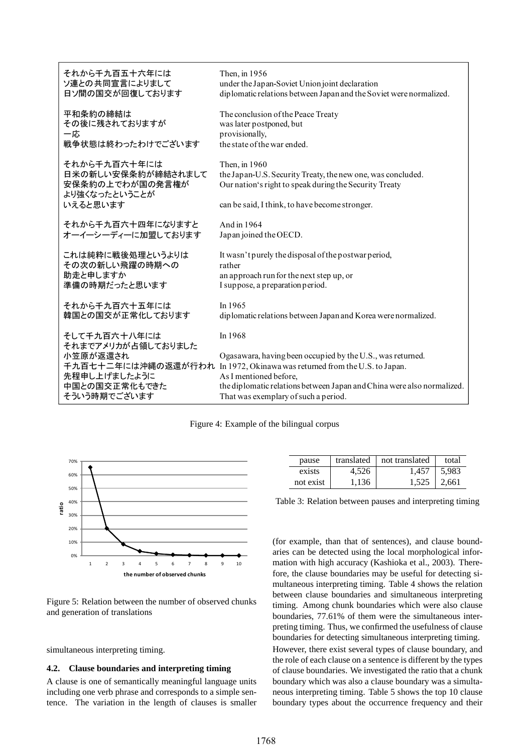| それから千九百五十六年には                                                          | Then, in 1956                                                                                                                          |
|------------------------------------------------------------------------|----------------------------------------------------------------------------------------------------------------------------------------|
| ソ連との共同宣言によりまして                                                         | under the Japan-Soviet Union joint declaration                                                                                         |
| 日ソ間の国交が回復しております                                                        | diplomatic relations between Japan and the Soviet were normalized.                                                                     |
| 平和条約の締結は                                                               | The conclusion of the Peace Treaty                                                                                                     |
| その後に残されておりますが                                                          | was later postponed, but                                                                                                               |
| 一応                                                                     | provisionally,                                                                                                                         |
| 戦争状態は終わったわけでございます                                                      | the state of the war ended.                                                                                                            |
| それから千九百六十年には<br>日米の新しい安保条約が締結されまして<br>安保条約の上でわが国の発言権が<br>より強くなったということが | Then, in 1960<br>the Japan-U.S. Security Treaty, the new one, was concluded.<br>Our nation's right to speak during the Security Treaty |
| いえると思います                                                               | can be said, I think, to have become stronger.                                                                                         |
| それから千九百六十四年になりますと                                                      | And in 1964                                                                                                                            |
| オーイーシーディーに加盟しております                                                     | Japan joined the OECD.                                                                                                                 |
| これは純粋に戦後処理というよりは                                                       | It wasn't purely the disposal of the postwar period,                                                                                   |
| その次の新しい飛躍の時期への                                                         | rather                                                                                                                                 |
| 助走と申しますか                                                               | an approach run for the next step up, or                                                                                               |
| 準備の時期だったと思います                                                          | I suppose, a preparation period.                                                                                                       |
| それから千九百六十五年には                                                          | In 1965                                                                                                                                |
| 韓国との国交が正常化しております                                                       | diplomatic relations between Japan and Korea were normalized.                                                                          |
| そして千九百六十八年には                                                           | In 1968                                                                                                                                |
| それまでアメリカが占領しておりました                                                     | Ogasawara, having been occupied by the U.S., was returned.                                                                             |
| 小笠原が返還され                                                               | 千九百七十二年には沖縄の返還が行われ In 1972, Okinawa was returned from the U.S. to Japan.                                                               |
| 先程申し上げましたように                                                           | As I mentioned before,                                                                                                                 |
| 中国との国交正常化もできた                                                          | the diplomatic relations between Japan and China were also normalized.                                                                 |
| そういう時期でございます                                                           | That was exemplary of such a period.                                                                                                   |

#### Figure 4: Example of the bilingual corpus



Figure 5: Relation between the number of observed chunks and generation of translations

simultaneous interpreting timing.

#### **4.2. Clause boundaries and interpreting timing**

A clause is one of semantically meaningful language units including one verb phrase and corresponds to a simple sentence. The variation in the length of clauses is smaller

| pause     | translated | not translated | total               |
|-----------|------------|----------------|---------------------|
| exists    | 4.526      | 1,457          | $\vert 5.983 \vert$ |
| not exist | 1.136      |                | $1.525 \pm 2.661$   |

Table 3: Relation between pauses and interpreting timing

(for example, than that of sentences), and clause boundaries can be detected using the local morphological information with high accuracy (Kashioka et al., 2003). Therefore, the clause boundaries may be useful for detecting simultaneous interpreting timing. Table 4 shows the relation between clause boundaries and simultaneous interpreting timing. Among chunk boundaries which were also clause boundaries, 77.61% of them were the simultaneous interpreting timing. Thus, we confirmed the usefulness of clause boundaries for detecting simultaneous interpreting timing. However, there exist several types of clause boundary, and the role of each clause on a sentence is different by the types of clause boundaries. We investigated the ratio that a chunk boundary which was also a clause boundary was a simultaneous interpreting timing. Table 5 shows the top 10 clause boundary types about the occurrence frequency and their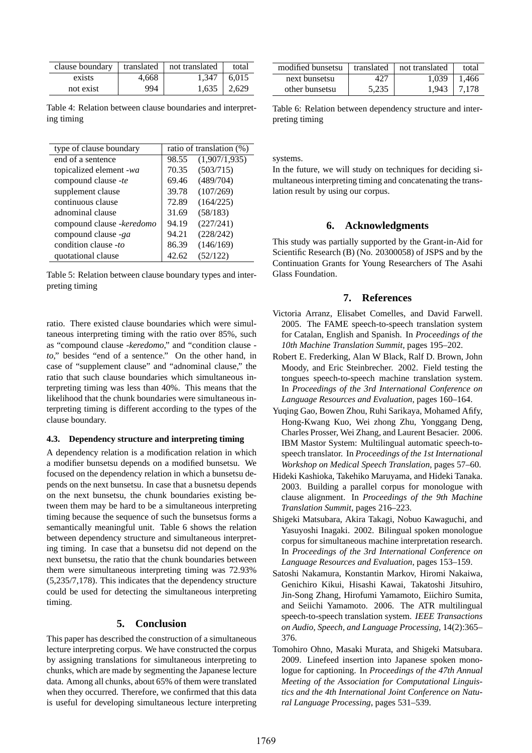| clause boundary |       | translated   not translated | total             |
|-----------------|-------|-----------------------------|-------------------|
| exists          | 4.668 |                             | $1,347 \pm 6,015$ |
| not exist       | 994   |                             | $1,635$   2,629   |

Table 4: Relation between clause boundaries and interpreting timing

| type of clause boundary           | ratio of translation (%) |               |
|-----------------------------------|--------------------------|---------------|
| end of a sentence                 | 98.55                    | (1,907/1,935) |
| topicalized element -wa           | 70.35                    | (503/715)     |
| compound clause -te               | 69.46                    | (489/704)     |
| supplement clause                 | 39.78                    | (107/269)     |
| continuous clause                 | 72.89                    | (164/225)     |
| adnominal clause                  | 31.69                    | (58/183)      |
| compound clause - <i>keredomo</i> | 94.19                    | (227/241)     |
| compound clause -ga               | 94.21                    | (228/242)     |
| condition clause -to              | 86.39                    | (146/169)     |
| quotational clause                | 42.62                    | (52/122)      |

Table 5: Relation between clause boundary types and interpreting timing

ratio. There existed clause boundaries which were simultaneous interpreting timing with the ratio over 85%, such as "compound clause *-keredomo*," and "condition clause  *to*," besides "end of a sentence." On the other hand, in case of "supplement clause" and "adnominal clause," the ratio that such clause boundaries which simultaneous interpreting timing was less than 40%. This means that the likelihood that the chunk boundaries were simultaneous interpreting timing is different according to the types of the clause boundary.

#### **4.3. Dependency structure and interpreting timing**

A dependency relation is a modification relation in which a modifier bunsetsu depends on a modified bunsetsu. We focused on the dependency relation in which a bunsetsu depends on the next bunsetsu. In case that a busnetsu depends on the next bunsetsu, the chunk boundaries existing between them may be hard to be a simultaneous interpreting timing because the sequence of such the bunsetsus forms a semantically meaningful unit. Table 6 shows the relation between dependency structure and simultaneous interpreting timing. In case that a bunsetsu did not depend on the next bunsetsu, the ratio that the chunk boundaries between them were simultaneous interpreting timing was 72.93% (5,235/7,178). This indicates that the dependency structure could be used for detecting the simultaneous interpreting timing.

#### **5. Conclusion**

This paper has described the construction of a simultaneous lecture interpreting corpus. We have constructed the corpus by assigning translations for simultaneous interpreting to chunks, which are made by segmenting the Japanese lecture data. Among all chunks, about 65% of them were translated when they occurred. Therefore, we confirmed that this data is useful for developing simultaneous lecture interpreting

| modified bunsetsu |       | translated   not translated | total           |
|-------------------|-------|-----------------------------|-----------------|
| next bunsetsu     | 427   |                             | $1,039$   1,466 |
| other bunsetsu    | 5.235 |                             | $1,943$   7,178 |

Table 6: Relation between dependency structure and interpreting timing

systems.

In the future, we will study on techniques for deciding simultaneous interpreting timing and concatenating the translation result by using our corpus.

#### **6. Acknowledgments**

This study was partially supported by the Grant-in-Aid for Scientific Research (B) (No. 20300058) of JSPS and by the Continuation Grants for Young Researchers of The Asahi Glass Foundation.

# **7. References**

- Victoria Arranz, Elisabet Comelles, and David Farwell. 2005. The FAME speech-to-speech translation system for Catalan, English and Spanish. In *Proceedings of the 10th Machine Translation Summit*, pages 195–202.
- Robert E. Frederking, Alan W Black, Ralf D. Brown, John Moody, and Eric Steinbrecher. 2002. Field testing the tongues speech-to-speech machine translation system. In *Proceedings of the 3rd International Conference on Language Resources and Evaluation*, pages 160–164.
- Yuqing Gao, Bowen Zhou, Ruhi Sarikaya, Mohamed Afify, Hong-Kwang Kuo, Wei zhong Zhu, Yonggang Deng, Charles Prosser, Wei Zhang, and Laurent Besacier. 2006. IBM Mastor System: Multilingual automatic speech-tospeech translator. In *Proceedings of the 1st International Workshop on Medical Speech Translation*, pages 57–60.
- Hideki Kashioka, Takehiko Maruyama, and Hideki Tanaka. 2003. Building a parallel corpus for monologue with clause alignment. In *Proceedings of the 9th Machine Translation Summit*, pages 216–223.
- Shigeki Matsubara, Akira Takagi, Nobuo Kawaguchi, and Yasuyoshi Inagaki. 2002. Bilingual spoken monologue corpus for simultaneous machine interpretation research. In *Proceedings of the 3rd International Conference on Language Resources and Evaluation*, pages 153–159.
- Satoshi Nakamura, Konstantin Markov, Hiromi Nakaiwa, Genichiro Kikui, Hisashi Kawai, Takatoshi Jitsuhiro, Jin-Song Zhang, Hirofumi Yamamoto, Eiichiro Sumita, and Seiichi Yamamoto. 2006. The ATR multilingual speech-to-speech translation system. *IEEE Transactions on Audio, Speech, and Language Processing*, 14(2):365– 376.
- Tomohiro Ohno, Masaki Murata, and Shigeki Matsubara. 2009. Linefeed insertion into Japanese spoken monologue for captioning. In *Proceedings of the 47th Annual Meeting of the Association for Computational Linguistics and the 4th International Joint Conference on Natural Language Processing*, pages 531–539.